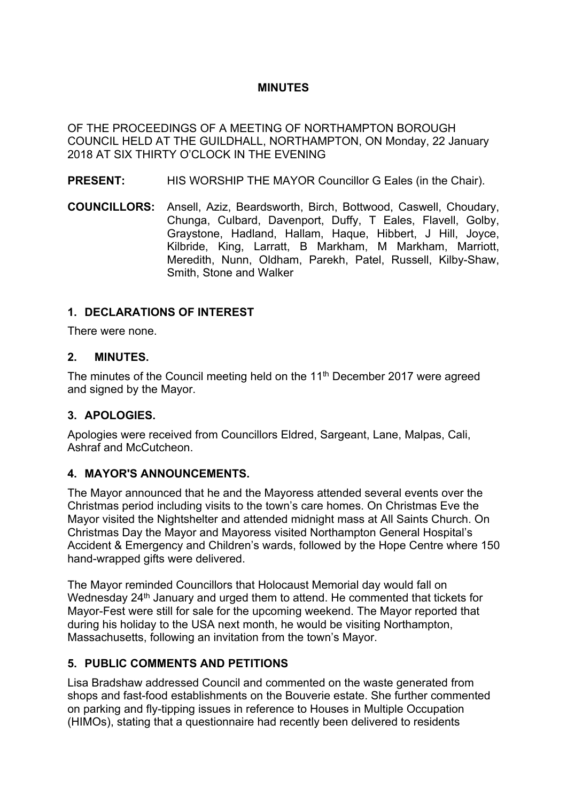## **MINUTES**

OF THE PROCEEDINGS OF A MEETING OF NORTHAMPTON BOROUGH COUNCIL HELD AT THE GUILDHALL, NORTHAMPTON, ON Monday, 22 January 2018 AT SIX THIRTY O'CLOCK IN THE EVENING

**PRESENT:** HIS WORSHIP THE MAYOR Councillor G Eales (in the Chair).

**COUNCILLORS:** Ansell, Aziz, Beardsworth, Birch, Bottwood, Caswell, Choudary, Chunga, Culbard, Davenport, Duffy, T Eales, Flavell, Golby, Graystone, Hadland, Hallam, Haque, Hibbert, J Hill, Joyce, Kilbride, King, Larratt, B Markham, M Markham, Marriott, Meredith, Nunn, Oldham, Parekh, Patel, Russell, Kilby-Shaw, Smith, Stone and Walker

## **1. DECLARATIONS OF INTEREST**

There were none.

#### **2. MINUTES.**

The minutes of the Council meeting held on the 11<sup>th</sup> December 2017 were agreed and signed by the Mayor.

## **3. APOLOGIES.**

Apologies were received from Councillors Eldred, Sargeant, Lane, Malpas, Cali, Ashraf and McCutcheon.

## **4. MAYOR'S ANNOUNCEMENTS.**

The Mayor announced that he and the Mayoress attended several events over the Christmas period including visits to the town's care homes. On Christmas Eve the Mayor visited the Nightshelter and attended midnight mass at All Saints Church. On Christmas Day the Mayor and Mayoress visited Northampton General Hospital's Accident & Emergency and Children's wards, followed by the Hope Centre where 150 hand-wrapped gifts were delivered.

The Mayor reminded Councillors that Holocaust Memorial day would fall on Wednesday 24<sup>th</sup> January and urged them to attend. He commented that tickets for Mayor-Fest were still for sale for the upcoming weekend. The Mayor reported that during his holiday to the USA next month, he would be visiting Northampton, Massachusetts, following an invitation from the town's Mayor.

## **5. PUBLIC COMMENTS AND PETITIONS**

Lisa Bradshaw addressed Council and commented on the waste generated from shops and fast-food establishments on the Bouverie estate. She further commented on parking and fly-tipping issues in reference to Houses in Multiple Occupation (HIMOs), stating that a questionnaire had recently been delivered to residents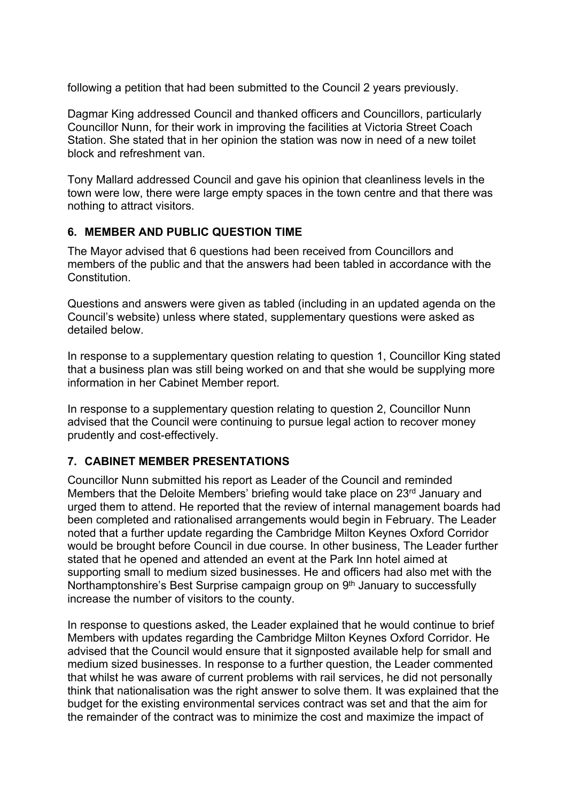following a petition that had been submitted to the Council 2 years previously.

Dagmar King addressed Council and thanked officers and Councillors, particularly Councillor Nunn, for their work in improving the facilities at Victoria Street Coach Station. She stated that in her opinion the station was now in need of a new toilet block and refreshment van.

Tony Mallard addressed Council and gave his opinion that cleanliness levels in the town were low, there were large empty spaces in the town centre and that there was nothing to attract visitors.

## **6. MEMBER AND PUBLIC QUESTION TIME**

The Mayor advised that 6 questions had been received from Councillors and members of the public and that the answers had been tabled in accordance with the **Constitution** 

Questions and answers were given as tabled (including in an updated agenda on the Council's website) unless where stated, supplementary questions were asked as detailed below.

In response to a supplementary question relating to question 1, Councillor King stated that a business plan was still being worked on and that she would be supplying more information in her Cabinet Member report.

In response to a supplementary question relating to question 2, Councillor Nunn advised that the Council were continuing to pursue legal action to recover money prudently and cost-effectively.

## **7. CABINET MEMBER PRESENTATIONS**

Councillor Nunn submitted his report as Leader of the Council and reminded Members that the Deloite Members' briefing would take place on 23<sup>rd</sup> January and urged them to attend. He reported that the review of internal management boards had been completed and rationalised arrangements would begin in February. The Leader noted that a further update regarding the Cambridge Milton Keynes Oxford Corridor would be brought before Council in due course. In other business, The Leader further stated that he opened and attended an event at the Park Inn hotel aimed at supporting small to medium sized businesses. He and officers had also met with the Northamptonshire's Best Surprise campaign group on 9<sup>th</sup> January to successfully increase the number of visitors to the county.

In response to questions asked, the Leader explained that he would continue to brief Members with updates regarding the Cambridge Milton Keynes Oxford Corridor. He advised that the Council would ensure that it signposted available help for small and medium sized businesses. In response to a further question, the Leader commented that whilst he was aware of current problems with rail services, he did not personally think that nationalisation was the right answer to solve them. It was explained that the budget for the existing environmental services contract was set and that the aim for the remainder of the contract was to minimize the cost and maximize the impact of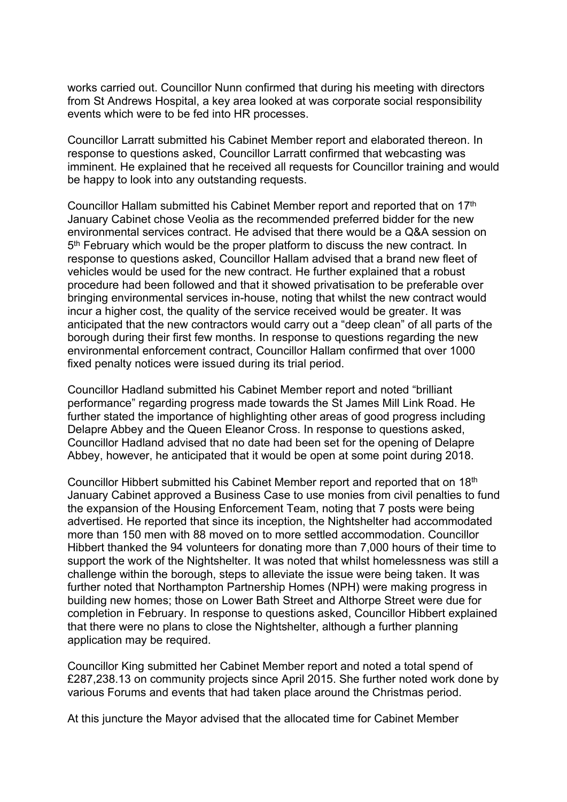works carried out. Councillor Nunn confirmed that during his meeting with directors from St Andrews Hospital, a key area looked at was corporate social responsibility events which were to be fed into HR processes.

Councillor Larratt submitted his Cabinet Member report and elaborated thereon. In response to questions asked, Councillor Larratt confirmed that webcasting was imminent. He explained that he received all requests for Councillor training and would be happy to look into any outstanding requests.

Councillor Hallam submitted his Cabinet Member report and reported that on 17th January Cabinet chose Veolia as the recommended preferred bidder for the new environmental services contract. He advised that there would be a Q&A session on 5<sup>th</sup> February which would be the proper platform to discuss the new contract. In response to questions asked, Councillor Hallam advised that a brand new fleet of vehicles would be used for the new contract. He further explained that a robust procedure had been followed and that it showed privatisation to be preferable over bringing environmental services in-house, noting that whilst the new contract would incur a higher cost, the quality of the service received would be greater. It was anticipated that the new contractors would carry out a "deep clean" of all parts of the borough during their first few months. In response to questions regarding the new environmental enforcement contract, Councillor Hallam confirmed that over 1000 fixed penalty notices were issued during its trial period.

Councillor Hadland submitted his Cabinet Member report and noted "brilliant performance" regarding progress made towards the St James Mill Link Road. He further stated the importance of highlighting other areas of good progress including Delapre Abbey and the Queen Eleanor Cross. In response to questions asked, Councillor Hadland advised that no date had been set for the opening of Delapre Abbey, however, he anticipated that it would be open at some point during 2018.

Councillor Hibbert submitted his Cabinet Member report and reported that on 18th January Cabinet approved a Business Case to use monies from civil penalties to fund the expansion of the Housing Enforcement Team, noting that 7 posts were being advertised. He reported that since its inception, the Nightshelter had accommodated more than 150 men with 88 moved on to more settled accommodation. Councillor Hibbert thanked the 94 volunteers for donating more than 7,000 hours of their time to support the work of the Nightshelter. It was noted that whilst homelessness was still a challenge within the borough, steps to alleviate the issue were being taken. It was further noted that Northampton Partnership Homes (NPH) were making progress in building new homes; those on Lower Bath Street and Althorpe Street were due for completion in February. In response to questions asked, Councillor Hibbert explained that there were no plans to close the Nightshelter, although a further planning application may be required.

Councillor King submitted her Cabinet Member report and noted a total spend of £287,238.13 on community projects since April 2015. She further noted work done by various Forums and events that had taken place around the Christmas period.

At this juncture the Mayor advised that the allocated time for Cabinet Member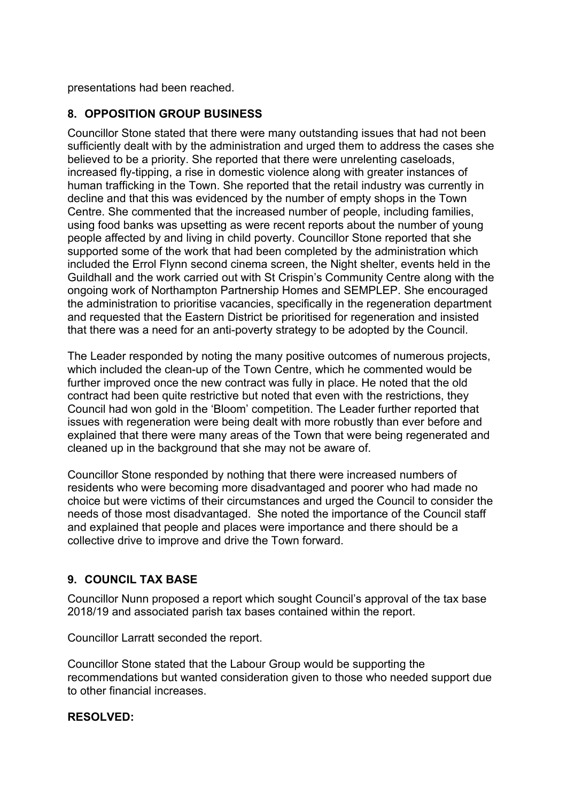presentations had been reached.

## **8. OPPOSITION GROUP BUSINESS**

Councillor Stone stated that there were many outstanding issues that had not been sufficiently dealt with by the administration and urged them to address the cases she believed to be a priority. She reported that there were unrelenting caseloads, increased fly-tipping, a rise in domestic violence along with greater instances of human trafficking in the Town. She reported that the retail industry was currently in decline and that this was evidenced by the number of empty shops in the Town Centre. She commented that the increased number of people, including families, using food banks was upsetting as were recent reports about the number of young people affected by and living in child poverty. Councillor Stone reported that she supported some of the work that had been completed by the administration which included the Errol Flynn second cinema screen, the Night shelter, events held in the Guildhall and the work carried out with St Crispin's Community Centre along with the ongoing work of Northampton Partnership Homes and SEMPLEP. She encouraged the administration to prioritise vacancies, specifically in the regeneration department and requested that the Eastern District be prioritised for regeneration and insisted that there was a need for an anti-poverty strategy to be adopted by the Council.

The Leader responded by noting the many positive outcomes of numerous projects, which included the clean-up of the Town Centre, which he commented would be further improved once the new contract was fully in place. He noted that the old contract had been quite restrictive but noted that even with the restrictions, they Council had won gold in the 'Bloom' competition. The Leader further reported that issues with regeneration were being dealt with more robustly than ever before and explained that there were many areas of the Town that were being regenerated and cleaned up in the background that she may not be aware of.

Councillor Stone responded by nothing that there were increased numbers of residents who were becoming more disadvantaged and poorer who had made no choice but were victims of their circumstances and urged the Council to consider the needs of those most disadvantaged. She noted the importance of the Council staff and explained that people and places were importance and there should be a collective drive to improve and drive the Town forward.

# **9. COUNCIL TAX BASE**

Councillor Nunn proposed a report which sought Council's approval of the tax base 2018/19 and associated parish tax bases contained within the report.

Councillor Larratt seconded the report.

Councillor Stone stated that the Labour Group would be supporting the recommendations but wanted consideration given to those who needed support due to other financial increases.

## **RESOLVED:**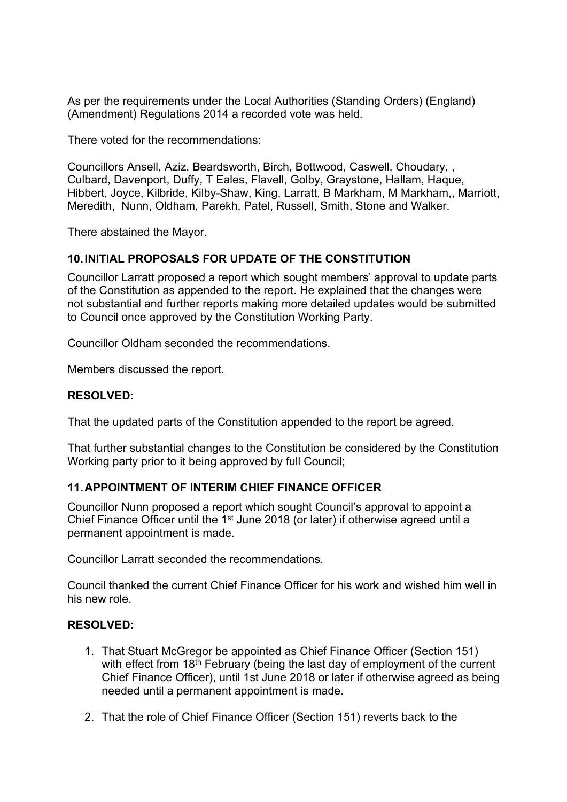As per the requirements under the Local Authorities (Standing Orders) (England) (Amendment) Regulations 2014 a recorded vote was held.

There voted for the recommendations:

Councillors Ansell, Aziz, Beardsworth, Birch, Bottwood, Caswell, Choudary, , Culbard, Davenport, Duffy, T Eales, Flavell, Golby, Graystone, Hallam, Haque, Hibbert, Joyce, Kilbride, Kilby-Shaw, King, Larratt, B Markham, M Markham,, Marriott, Meredith, Nunn, Oldham, Parekh, Patel, Russell, Smith, Stone and Walker.

There abstained the Mayor.

#### **10.INITIAL PROPOSALS FOR UPDATE OF THE CONSTITUTION**

Councillor Larratt proposed a report which sought members' approval to update parts of the Constitution as appended to the report. He explained that the changes were not substantial and further reports making more detailed updates would be submitted to Council once approved by the Constitution Working Party.

Councillor Oldham seconded the recommendations.

Members discussed the report.

#### **RESOLVED**:

That the updated parts of the Constitution appended to the report be agreed.

That further substantial changes to the Constitution be considered by the Constitution Working party prior to it being approved by full Council;

#### **11.APPOINTMENT OF INTERIM CHIEF FINANCE OFFICER**

Councillor Nunn proposed a report which sought Council's approval to appoint a Chief Finance Officer until the  $1<sup>st</sup>$  June 2018 (or later) if otherwise agreed until a permanent appointment is made.

Councillor Larratt seconded the recommendations.

Council thanked the current Chief Finance Officer for his work and wished him well in his new role.

#### **RESOLVED:**

- 1. That Stuart McGregor be appointed as Chief Finance Officer (Section 151) with effect from 18<sup>th</sup> February (being the last day of employment of the current Chief Finance Officer), until 1st June 2018 or later if otherwise agreed as being needed until a permanent appointment is made.
- 2. That the role of Chief Finance Officer (Section 151) reverts back to the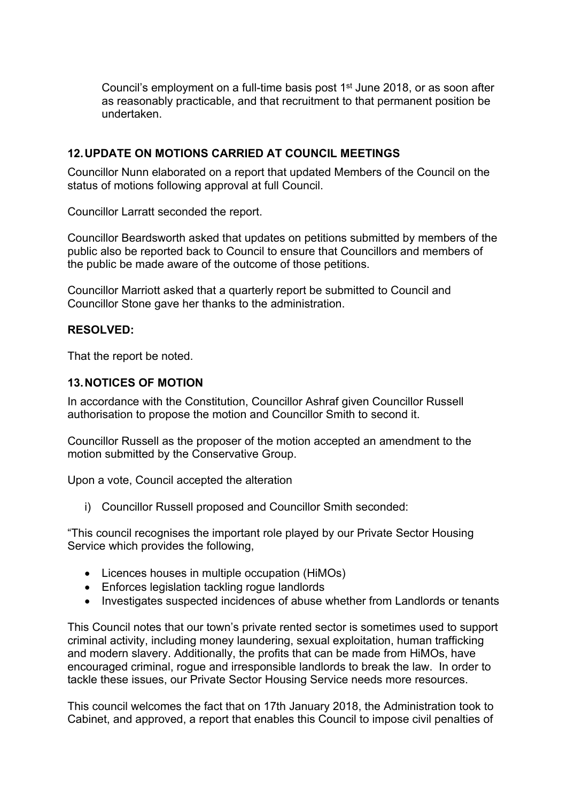Council's employment on a full-time basis post 1<sup>st</sup> June 2018, or as soon after as reasonably practicable, and that recruitment to that permanent position be undertaken.

## **12.UPDATE ON MOTIONS CARRIED AT COUNCIL MEETINGS**

Councillor Nunn elaborated on a report that updated Members of the Council on the status of motions following approval at full Council.

Councillor Larratt seconded the report.

Councillor Beardsworth asked that updates on petitions submitted by members of the public also be reported back to Council to ensure that Councillors and members of the public be made aware of the outcome of those petitions.

Councillor Marriott asked that a quarterly report be submitted to Council and Councillor Stone gave her thanks to the administration.

#### **RESOLVED:**

That the report be noted.

#### **13.NOTICES OF MOTION**

In accordance with the Constitution, Councillor Ashraf given Councillor Russell authorisation to propose the motion and Councillor Smith to second it.

Councillor Russell as the proposer of the motion accepted an amendment to the motion submitted by the Conservative Group.

Upon a vote, Council accepted the alteration

i) Councillor Russell proposed and Councillor Smith seconded:

"This council recognises the important role played by our Private Sector Housing Service which provides the following,

- Licences houses in multiple occupation (HiMOs)
- Enforces legislation tackling rogue landlords
- Investigates suspected incidences of abuse whether from Landlords or tenants

This Council notes that our town's private rented sector is sometimes used to support criminal activity, including money laundering, sexual exploitation, human trafficking and modern slavery. Additionally, the profits that can be made from HiMOs, have encouraged criminal, rogue and irresponsible landlords to break the law. In order to tackle these issues, our Private Sector Housing Service needs more resources.

This council welcomes the fact that on 17th January 2018, the Administration took to Cabinet, and approved, a report that enables this Council to impose civil penalties of